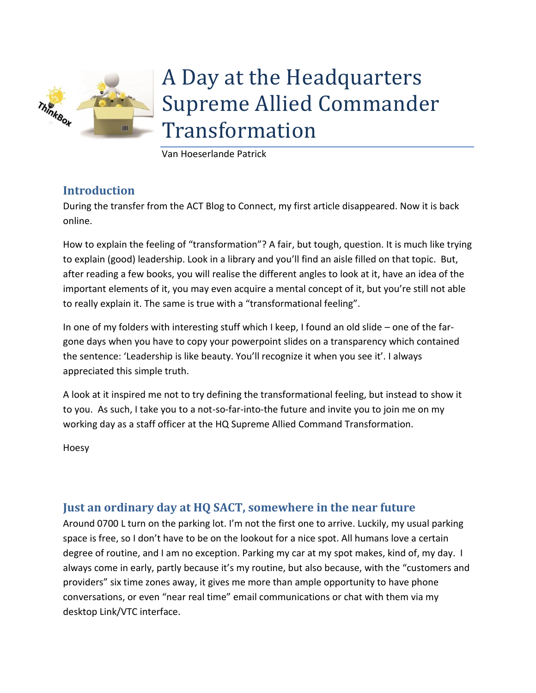

## A Day at the Headquarters Supreme Allied Commander Transformation

Van Hoeserlande Patrick

## **Introduction**

During the transfer from the ACT Blog to Connect, my first article disappeared. Now it is back online.

How to explain the feeling of "transformation"? A fair, but tough, question. It is much like trying to explain (good) leadership. Look in a library and you'll find an aisle filled on that topic. But, after reading a few books, you will realise the different angles to look at it, have an idea of the important elements of it, you may even acquire a mental concept of it, but you're still not able to really explain it. The same is true with a "transformational feeling".

In one of my folders with interesting stuff which I keep, I found an old slide – one of the fargone days when you have to copy your powerpoint slides on a transparency which contained the sentence: 'Leadership is like beauty. You'll recognize it when you see it'. I always appreciated this simple truth.

A look at it inspired me not to try defining the transformational feeling, but instead to show it to you. As such, I take you to a not-so-far-into-the future and invite you to join me on my working day as a staff officer at the HQ Supreme Allied Command Transformation.

Hoesy

## **Just an ordinary day at HQ SACT, somewhere in the near future**

Around 0700 L turn on the parking lot. I'm not the first one to arrive. Luckily, my usual parking space is free, so I don't have to be on the lookout for a nice spot. All humans love a certain degree of routine, and I am no exception. Parking my car at my spot makes, kind of, my day. I always come in early, partly because it's my routine, but also because, with the "customers and providers" six time zones away, it gives me more than ample opportunity to have phone conversations, or even "near real time" email communications or chat with them via my desktop Link/VTC interface.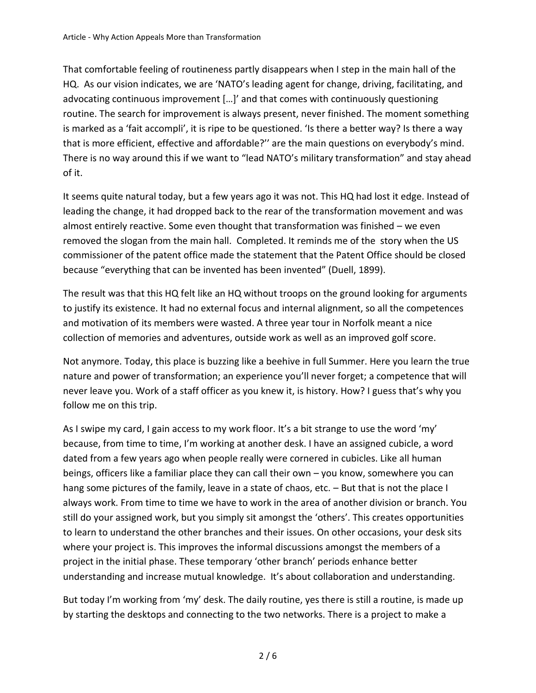That comfortable feeling of routineness partly disappears when I step in the main hall of the HQ. As our vision indicates, we are 'NATO's leading agent for change, driving, facilitating, and advocating continuous improvement […]' and that comes with continuously questioning routine. The search for improvement is always present, never finished. The moment something is marked as a 'fait accompli', it is ripe to be questioned. 'Is there a better way? Is there a way that is more efficient, effective and affordable?'' are the main questions on everybody's mind. There is no way around this if we want to "lead NATO's military transformation" and stay ahead of it.

It seems quite natural today, but a few years ago it was not. This HQ had lost it edge. Instead of leading the change, it had dropped back to the rear of the transformation movement and was almost entirely reactive. Some even thought that transformation was finished – we even removed the slogan from the main hall. Completed. It reminds me of the story when the US commissioner of the patent office made the statement that the Patent Office should be closed because "everything that can be invented has been invented" (Duell, 1899).

The result was that this HQ felt like an HQ without troops on the ground looking for arguments to justify its existence. It had no external focus and internal alignment, so all the competences and motivation of its members were wasted. A three year tour in Norfolk meant a nice collection of memories and adventures, outside work as well as an improved golf score.

Not anymore. Today, this place is buzzing like a beehive in full Summer. Here you learn the true nature and power of transformation; an experience you'll never forget; a competence that will never leave you. Work of a staff officer as you knew it, is history. How? I guess that's why you follow me on this trip.

As I swipe my card, I gain access to my work floor. It's a bit strange to use the word 'my' because, from time to time, I'm working at another desk. I have an assigned cubicle, a word dated from a few years ago when people really were cornered in cubicles. Like all human beings, officers like a familiar place they can call their own – you know, somewhere you can hang some pictures of the family, leave in a state of chaos, etc. - But that is not the place I always work. From time to time we have to work in the area of another division or branch. You still do your assigned work, but you simply sit amongst the 'others'. This creates opportunities to learn to understand the other branches and their issues. On other occasions, your desk sits where your project is. This improves the informal discussions amongst the members of a project in the initial phase. These temporary 'other branch' periods enhance better understanding and increase mutual knowledge. It's about collaboration and understanding.

But today I'm working from 'my' desk. The daily routine, yes there is still a routine, is made up by starting the desktops and connecting to the two networks. There is a project to make a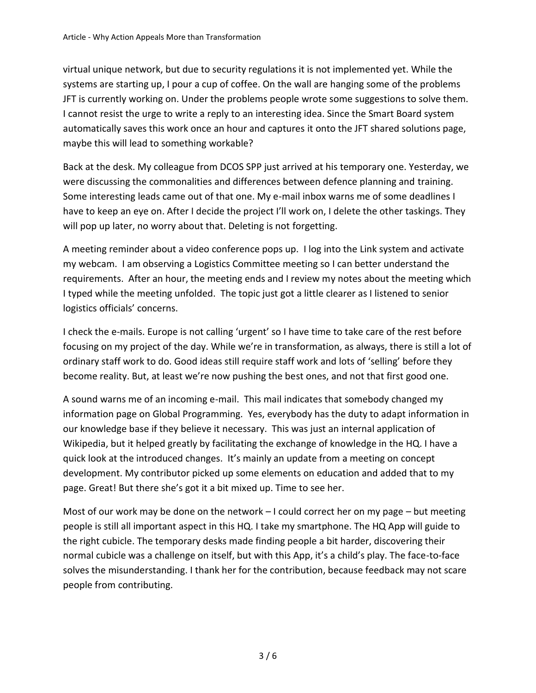virtual unique network, but due to security regulations it is not implemented yet. While the systems are starting up, I pour a cup of coffee. On the wall are hanging some of the problems JFT is currently working on. Under the problems people wrote some suggestions to solve them. I cannot resist the urge to write a reply to an interesting idea. Since the Smart Board system automatically saves this work once an hour and captures it onto the JFT shared solutions page, maybe this will lead to something workable?

Back at the desk. My colleague from DCOS SPP just arrived at his temporary one. Yesterday, we were discussing the commonalities and differences between defence planning and training. Some interesting leads came out of that one. My e-mail inbox warns me of some deadlines I have to keep an eye on. After I decide the project I'll work on, I delete the other taskings. They will pop up later, no worry about that. Deleting is not forgetting.

A meeting reminder about a video conference pops up. I log into the Link system and activate my webcam. I am observing a Logistics Committee meeting so I can better understand the requirements. After an hour, the meeting ends and I review my notes about the meeting which I typed while the meeting unfolded. The topic just got a little clearer as I listened to senior logistics officials' concerns.

I check the e-mails. Europe is not calling 'urgent' so I have time to take care of the rest before focusing on my project of the day. While we're in transformation, as always, there is still a lot of ordinary staff work to do. Good ideas still require staff work and lots of 'selling' before they become reality. But, at least we're now pushing the best ones, and not that first good one.

A sound warns me of an incoming e-mail. This mail indicates that somebody changed my information page on Global Programming. Yes, everybody has the duty to adapt information in our knowledge base if they believe it necessary. This was just an internal application of Wikipedia, but it helped greatly by facilitating the exchange of knowledge in the HQ. I have a quick look at the introduced changes. It's mainly an update from a meeting on concept development. My contributor picked up some elements on education and added that to my page. Great! But there she's got it a bit mixed up. Time to see her.

Most of our work may be done on the network – I could correct her on my page – but meeting people is still all important aspect in this HQ. I take my smartphone. The HQ App will guide to the right cubicle. The temporary desks made finding people a bit harder, discovering their normal cubicle was a challenge on itself, but with this App, it's a child's play. The face-to-face solves the misunderstanding. I thank her for the contribution, because feedback may not scare people from contributing.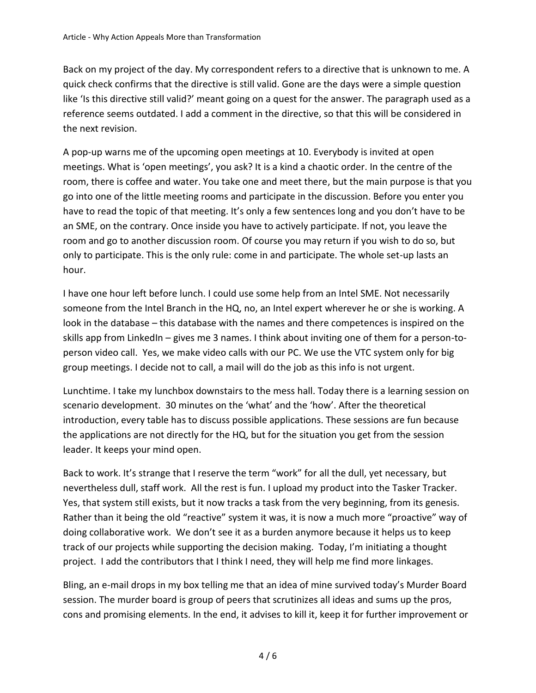Back on my project of the day. My correspondent refers to a directive that is unknown to me. A quick check confirms that the directive is still valid. Gone are the days were a simple question like 'Is this directive still valid?' meant going on a quest for the answer. The paragraph used as a reference seems outdated. I add a comment in the directive, so that this will be considered in the next revision.

A pop-up warns me of the upcoming open meetings at 10. Everybody is invited at open meetings. What is 'open meetings', you ask? It is a kind a chaotic order. In the centre of the room, there is coffee and water. You take one and meet there, but the main purpose is that you go into one of the little meeting rooms and participate in the discussion. Before you enter you have to read the topic of that meeting. It's only a few sentences long and you don't have to be an SME, on the contrary. Once inside you have to actively participate. If not, you leave the room and go to another discussion room. Of course you may return if you wish to do so, but only to participate. This is the only rule: come in and participate. The whole set-up lasts an hour.

I have one hour left before lunch. I could use some help from an Intel SME. Not necessarily someone from the Intel Branch in the HQ, no, an Intel expert wherever he or she is working. A look in the database – this database with the names and there competences is inspired on the skills app from LinkedIn – gives me 3 names. I think about inviting one of them for a person-toperson video call. Yes, we make video calls with our PC. We use the VTC system only for big group meetings. I decide not to call, a mail will do the job as this info is not urgent.

Lunchtime. I take my lunchbox downstairs to the mess hall. Today there is a learning session on scenario development. 30 minutes on the 'what' and the 'how'. After the theoretical introduction, every table has to discuss possible applications. These sessions are fun because the applications are not directly for the HQ, but for the situation you get from the session leader. It keeps your mind open.

Back to work. It's strange that I reserve the term "work" for all the dull, yet necessary, but nevertheless dull, staff work. All the rest is fun. I upload my product into the Tasker Tracker. Yes, that system still exists, but it now tracks a task from the very beginning, from its genesis. Rather than it being the old "reactive" system it was, it is now a much more "proactive" way of doing collaborative work. We don't see it as a burden anymore because it helps us to keep track of our projects while supporting the decision making. Today, I'm initiating a thought project. I add the contributors that I think I need, they will help me find more linkages.

Bling, an e-mail drops in my box telling me that an idea of mine survived today's Murder Board session. The murder board is group of peers that scrutinizes all ideas and sums up the pros, cons and promising elements. In the end, it advises to kill it, keep it for further improvement or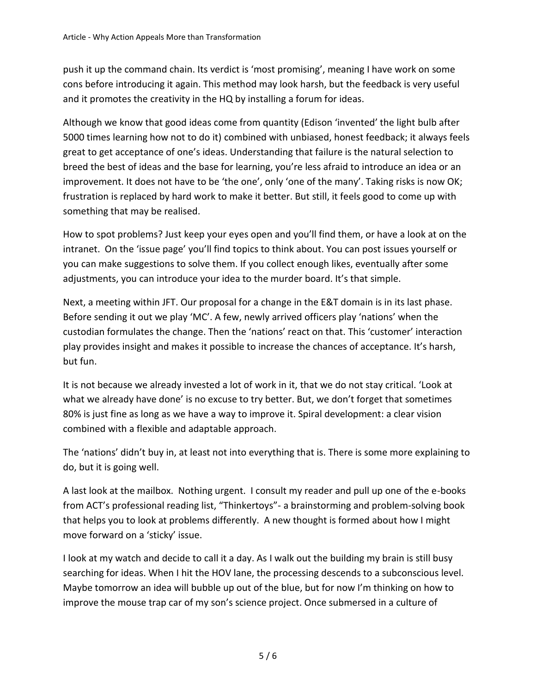push it up the command chain. Its verdict is 'most promising', meaning I have work on some cons before introducing it again. This method may look harsh, but the feedback is very useful and it promotes the creativity in the HQ by installing a forum for ideas.

Although we know that good ideas come from quantity (Edison 'invented' the light bulb after 5000 times learning how not to do it) combined with unbiased, honest feedback; it always feels great to get acceptance of one's ideas. Understanding that failure is the natural selection to breed the best of ideas and the base for learning, you're less afraid to introduce an idea or an improvement. It does not have to be 'the one', only 'one of the many'. Taking risks is now OK; frustration is replaced by hard work to make it better. But still, it feels good to come up with something that may be realised.

How to spot problems? Just keep your eyes open and you'll find them, or have a look at on the intranet. On the 'issue page' you'll find topics to think about. You can post issues yourself or you can make suggestions to solve them. If you collect enough likes, eventually after some adjustments, you can introduce your idea to the murder board. It's that simple.

Next, a meeting within JFT. Our proposal for a change in the E&T domain is in its last phase. Before sending it out we play 'MC'. A few, newly arrived officers play 'nations' when the custodian formulates the change. Then the 'nations' react on that. This 'customer' interaction play provides insight and makes it possible to increase the chances of acceptance. It's harsh, but fun.

It is not because we already invested a lot of work in it, that we do not stay critical. 'Look at what we already have done' is no excuse to try better. But, we don't forget that sometimes 80% is just fine as long as we have a way to improve it. Spiral development: a clear vision combined with a flexible and adaptable approach.

The 'nations' didn't buy in, at least not into everything that is. There is some more explaining to do, but it is going well.

A last look at the mailbox. Nothing urgent. I consult my reader and pull up one of the e-books from ACT's professional reading list, "Thinkertoys"- a brainstorming and problem-solving book that helps you to look at problems differently. A new thought is formed about how I might move forward on a 'sticky' issue.

I look at my watch and decide to call it a day. As I walk out the building my brain is still busy searching for ideas. When I hit the HOV lane, the processing descends to a subconscious level. Maybe tomorrow an idea will bubble up out of the blue, but for now I'm thinking on how to improve the mouse trap car of my son's science project. Once submersed in a culture of